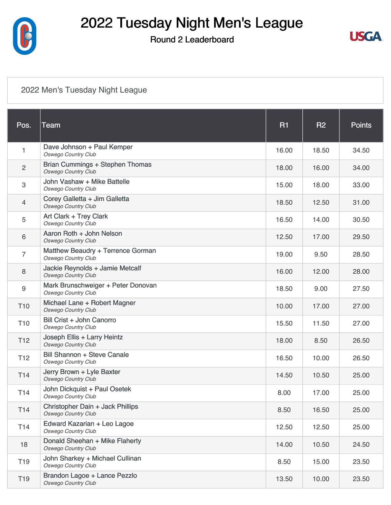

#### Round 2 Leaderboard



#### [2022 Men's Tuesday Night League](https://static.golfgenius.com/v2tournaments/8453658876733055671?called_from=&round_index=2)

| Pos.                      | <b>Team</b>                                                          | <b>R1</b> | <b>R2</b> | <b>Points</b> |
|---------------------------|----------------------------------------------------------------------|-----------|-----------|---------------|
| 1                         | Dave Johnson + Paul Kemper<br><b>Oswego Country Club</b>             | 16.00     | 18.50     | 34.50         |
| $\overline{c}$            | <b>Brian Cummings + Stephen Thomas</b><br><b>Oswego Country Club</b> | 18.00     | 16.00     | 34.00         |
| $\ensuremath{\mathsf{3}}$ | John Vashaw + Mike Battelle<br><b>Oswego Country Club</b>            | 15.00     | 18.00     | 33.00         |
| 4                         | Corey Galletta + Jim Galletta<br><b>Oswego Country Club</b>          | 18.50     | 12.50     | 31.00         |
| 5                         | Art Clark + Trey Clark<br><b>Oswego Country Club</b>                 | 16.50     | 14.00     | 30.50         |
| 6                         | Aaron Roth + John Nelson<br><b>Oswego Country Club</b>               | 12.50     | 17.00     | 29.50         |
| 7                         | Matthew Beaudry + Terrence Gorman<br><b>Oswego Country Club</b>      | 19.00     | 9.50      | 28.50         |
| 8                         | Jackie Reynolds + Jamie Metcalf<br><b>Oswego Country Club</b>        | 16.00     | 12.00     | 28.00         |
| 9                         | Mark Brunschweiger + Peter Donovan<br><b>Oswego Country Club</b>     | 18.50     | 9.00      | 27.50         |
| T <sub>10</sub>           | Michael Lane + Robert Magner<br><b>Oswego Country Club</b>           | 10.00     | 17.00     | 27.00         |
| T <sub>10</sub>           | Bill Crist + John Canorro<br><b>Oswego Country Club</b>              | 15.50     | 11.50     | 27.00         |
| T <sub>12</sub>           | Joseph Ellis + Larry Heintz<br><b>Oswego Country Club</b>            | 18.00     | 8.50      | 26.50         |
| T <sub>12</sub>           | <b>Bill Shannon + Steve Canale</b><br><b>Oswego Country Club</b>     | 16.50     | 10.00     | 26.50         |
| T <sub>14</sub>           | Jerry Brown + Lyle Baxter<br>Oswego Country Club                     | 14.50     | 10.50     | 25.00         |
| T14                       | John Dickquist + Paul Osetek<br><b>Oswego Country Club</b>           | 8.00      | 17.00     | 25.00         |
| T <sub>14</sub>           | Christopher Dain + Jack Phillips<br><b>Oswego Country Club</b>       | 8.50      | 16.50     | 25.00         |
| T <sub>14</sub>           | Edward Kazarian + Leo Lagoe<br><b>Oswego Country Club</b>            | 12.50     | 12.50     | 25.00         |
| 18                        | Donald Sheehan + Mike Flaherty<br><b>Oswego Country Club</b>         | 14.00     | 10.50     | 24.50         |
| T <sub>19</sub>           | John Sharkey + Michael Cullinan<br><b>Oswego Country Club</b>        | 8.50      | 15.00     | 23.50         |
| T <sub>19</sub>           | Brandon Lagoe + Lance Pezzlo<br><b>Oswego Country Club</b>           | 13.50     | 10.00     | 23.50         |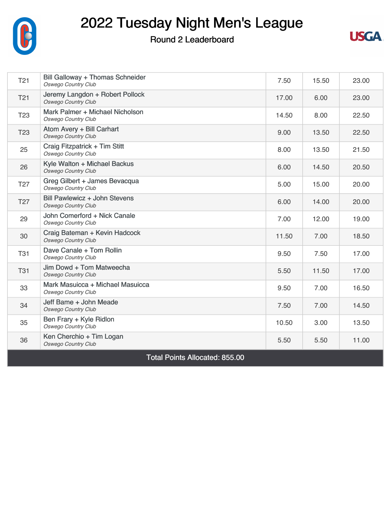

#### Round 2 Leaderboard



| T <sub>21</sub>                       | Bill Galloway + Thomas Schneider<br><b>Oswego Country Club</b> | 7.50  | 15.50 | 23.00 |  |
|---------------------------------------|----------------------------------------------------------------|-------|-------|-------|--|
| T <sub>21</sub>                       | Jeremy Langdon + Robert Pollock<br><b>Oswego Country Club</b>  | 17.00 | 6.00  | 23.00 |  |
| T <sub>23</sub>                       | Mark Palmer + Michael Nicholson<br><b>Oswego Country Club</b>  | 14.50 | 8.00  | 22.50 |  |
| T <sub>23</sub>                       | Atom Avery + Bill Carhart<br>Oswego Country Club               | 9.00  | 13.50 | 22.50 |  |
| 25                                    | Craig Fitzpatrick + Tim Stitt<br><b>Oswego Country Club</b>    | 8.00  | 13.50 | 21.50 |  |
| 26                                    | Kyle Walton + Michael Backus<br><b>Oswego Country Club</b>     | 6.00  | 14.50 | 20.50 |  |
| T <sub>27</sub>                       | Greg Gilbert + James Bevacqua<br><b>Oswego Country Club</b>    | 5.00  | 15.00 | 20.00 |  |
| T <sub>27</sub>                       | Bill Pawlewicz + John Stevens<br><b>Oswego Country Club</b>    | 6.00  | 14.00 | 20.00 |  |
| 29                                    | John Comerford + Nick Canale<br><b>Oswego Country Club</b>     | 7.00  | 12.00 | 19.00 |  |
| 30                                    | Craig Bateman + Kevin Hadcock<br><b>Oswego Country Club</b>    | 11.50 | 7.00  | 18.50 |  |
| <b>T31</b>                            | Dave Canale + Tom Rollin<br><b>Oswego Country Club</b>         | 9.50  | 7.50  | 17.00 |  |
| <b>T31</b>                            | Jim Dowd + Tom Matweecha<br><b>Oswego Country Club</b>         | 5.50  | 11.50 | 17.00 |  |
| 33                                    | Mark Masuicca + Michael Masuicca<br><b>Oswego Country Club</b> | 9.50  | 7.00  | 16.50 |  |
| 34                                    | Jeff Bame + John Meade<br><b>Oswego Country Club</b>           | 7.50  | 7.00  | 14.50 |  |
| 35                                    | Ben Frary + Kyle Ridlon<br><b>Oswego Country Club</b>          | 10.50 | 3.00  | 13.50 |  |
| 36                                    | Ken Cherchio + Tim Logan<br><b>Oswego Country Club</b>         | 5.50  | 5.50  | 11.00 |  |
| <b>Total Points Allocated: 855.00</b> |                                                                |       |       |       |  |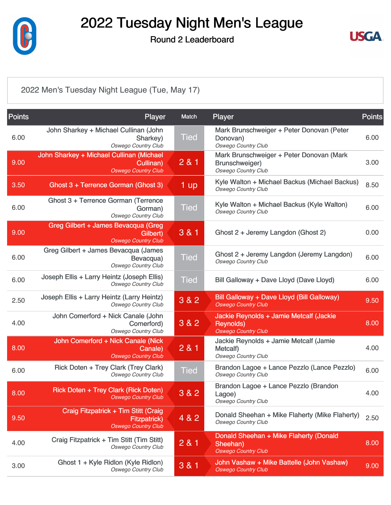

Round 2 Leaderboard



#### [2022 Men's Tuesday Night League \(Tue, May 17\)](https://static.golfgenius.com/v2tournaments/8453658882940625593?called_from=&round_index=2)

| <b>Points</b> | <b>Player</b>                                                                             | Match       | <b>Player</b>                                                                             | <b>Points</b> |
|---------------|-------------------------------------------------------------------------------------------|-------------|-------------------------------------------------------------------------------------------|---------------|
| 6.00          | John Sharkey + Michael Cullinan (John<br>Sharkey)<br><b>Oswego Country Club</b>           | Tied        | Mark Brunschweiger + Peter Donovan (Peter<br>Donovan)<br><b>Oswego Country Club</b>       | 6.00          |
| 9.00          | John Sharkey + Michael Cullinan (Michael<br>Cullinan)<br><b>Oswego Country Club</b>       | 281         | Mark Brunschweiger + Peter Donovan (Mark<br>Brunschweiger)<br>Oswego Country Club         | 3.00          |
| 3.50          | Ghost 3 + Terrence Gorman (Ghost 3)                                                       | 1 up        | Kyle Walton + Michael Backus (Michael Backus)<br><b>Oswego Country Club</b>               | 8.50          |
| 6.00          | Ghost 3 + Terrence Gorman (Terrence<br>Gorman)<br><b>Oswego Country Club</b>              | <b>Tied</b> | Kyle Walton + Michael Backus (Kyle Walton)<br><b>Oswego Country Club</b>                  | 6.00          |
| 9.00          | Greg Gilbert + James Bevacqua (Greg<br>Gilbert)<br><b>Oswego Country Club</b>             | 3 & 1       | Ghost 2 + Jeremy Langdon (Ghost 2)                                                        | 0.00          |
| 6.00          | Greg Gilbert + James Bevacqua (James<br>Bevacqua)<br>Oswego Country Club                  | Tied        | Ghost 2 + Jeremy Langdon (Jeremy Langdon)<br><b>Oswego Country Club</b>                   | 6.00          |
| 6.00          | Joseph Ellis + Larry Heintz (Joseph Ellis)<br><b>Oswego Country Club</b>                  | Tied        | Bill Galloway + Dave Lloyd (Dave Lloyd)                                                   | 6.00          |
| 2.50          | Joseph Ellis + Larry Heintz (Larry Heintz)<br><b>Oswego Country Club</b>                  | 3 & 2       | Bill Galloway + Dave Lloyd (Bill Galloway)<br><b>Oswego Country Club</b>                  | 9.50          |
| 4.00          | John Comerford + Nick Canale (John<br>Comerford)<br><b>Oswego Country Club</b>            | 3 & 2       | Jackie Reynolds + Jamie Metcalf (Jackie<br><b>Reynolds)</b><br><b>Oswego Country Club</b> | 8.00          |
| 8.00          | John Comerford + Nick Canale (Nick<br>Canale)<br><b>Oswego Country Club</b>               | 281         | Jackie Reynolds + Jamie Metcalf (Jamie<br>Metcalf)<br><b>Oswego Country Club</b>          | 4.00          |
| 6.00          | Rick Doten + Trey Clark (Trey Clark)<br><b>Oswego Country Club</b>                        | Tied        | Brandon Lagoe + Lance Pezzlo (Lance Pezzlo)<br>Oswego Country Club                        | 6.00          |
| 8.00          | Rick Doten + Trey Clark (Rick Doten)<br><b>Oswego Country Club</b>                        | 3 & 2       | Brandon Lagoe + Lance Pezzlo (Brandon<br>Lagoe)<br><b>Oswego Country Club</b>             | 4.00          |
| 9.50          | Craig Fitzpatrick + Tim Stitt (Craig<br><b>Fitzpatrick)</b><br><b>Oswego Country Club</b> | 4 & 2       | Donald Sheehan + Mike Flaherty (Mike Flaherty)<br><b>Oswego Country Club</b>              | 2.50          |
| 4.00          | Craig Fitzpatrick + Tim Stitt (Tim Stitt)<br><b>Oswego Country Club</b>                   | 2 & 1       | Donald Sheehan + Mike Flaherty (Donald<br>Sheehan)<br><b>Oswego Country Club</b>          | 8.00          |
| 3.00          | Ghost 1 + Kyle Ridlon (Kyle Ridlon)<br><b>Oswego Country Club</b>                         | 3 & 1       | John Vashaw + Mike Battelle (John Vashaw)<br><b>Oswego Country Club</b>                   | 9.00          |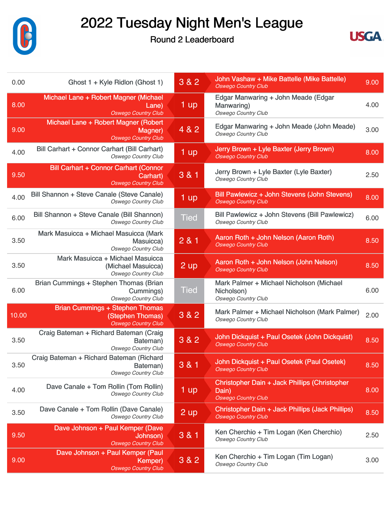

Round 2 Leaderboard



| 0.00  | Ghost 1 + Kyle Ridlon (Ghost 1)                                                          | 3 & 2             | John Vashaw + Mike Battelle (Mike Battelle)<br><b>Oswego Country Club</b>            | 9.00 |
|-------|------------------------------------------------------------------------------------------|-------------------|--------------------------------------------------------------------------------------|------|
| 8.00  | Michael Lane + Robert Magner (Michael<br>Lane)<br><b>Oswego Country Club</b>             | 1 up              | Edgar Manwaring + John Meade (Edgar<br>Manwaring)<br>Oswego Country Club             | 4.00 |
| 9.00  | Michael Lane + Robert Magner (Robert<br>Magner)<br><b>Oswego Country Club</b>            | 4 & 2             | Edgar Manwaring + John Meade (John Meade)<br><b>Oswego Country Club</b>              | 3.00 |
| 4.00  | Bill Carhart + Connor Carhart (Bill Carhart)<br><b>Oswego Country Club</b>               | $1 \overline{up}$ | Jerry Brown + Lyle Baxter (Jerry Brown)<br><b>Oswego Country Club</b>                | 8.00 |
| 9.50  | <b>Bill Carhart + Connor Carhart (Connor</b><br>Carhart)<br><b>Oswego Country Club</b>   | 3 & 1             | Jerry Brown + Lyle Baxter (Lyle Baxter)<br><b>Oswego Country Club</b>                | 2.50 |
| 4.00  | Bill Shannon + Steve Canale (Steve Canale)<br><b>Oswego Country Club</b>                 | 1 up              | Bill Pawlewicz + John Stevens (John Stevens)<br><b>Oswego Country Club</b>           | 8.00 |
| 6.00  | Bill Shannon + Steve Canale (Bill Shannon)<br><b>Oswego Country Club</b>                 | <b>Tied</b>       | Bill Pawlewicz + John Stevens (Bill Pawlewicz)<br><b>Oswego Country Club</b>         | 6.00 |
| 3.50  | Mark Masuicca + Michael Masuicca (Mark<br>Masuicca)<br><b>Oswego Country Club</b>        | 281               | Aaron Roth + John Nelson (Aaron Roth)<br><b>Oswego Country Club</b>                  | 8.50 |
| 3.50  | Mark Masuicca + Michael Masuicca<br>(Michael Masuicca)<br><b>Oswego Country Club</b>     | 2 up              | Aaron Roth + John Nelson (John Nelson)<br><b>Oswego Country Club</b>                 | 8.50 |
| 6.00  | Brian Cummings + Stephen Thomas (Brian<br>Cummings)<br><b>Oswego Country Club</b>        | Tied              | Mark Palmer + Michael Nicholson (Michael<br>Nicholson)<br>Oswego Country Club        | 6.00 |
| 10.00 | <b>Brian Cummings + Stephen Thomas</b><br>(Stephen Thomas)<br><b>Oswego Country Club</b> | 3 & 2             | Mark Palmer + Michael Nicholson (Mark Palmer)<br>Oswego Country Club                 | 2.00 |
| 3.50  | Craig Bateman + Richard Bateman (Craig<br>Bateman)<br><b>Oswego Country Club</b>         | 3 & 2             | John Dickquist + Paul Osetek (John Dickquist)<br><b>Oswego Country Club</b>          | 8.50 |
| 3.50  | Craig Bateman + Richard Bateman (Richard<br>Bateman)<br><b>Oswego Country Club</b>       | 3 & 1             | John Dickquist + Paul Osetek (Paul Osetek)<br><b>Oswego Country Club</b>             | 8.50 |
| 4.00  | Dave Canale + Tom Rollin (Tom Rollin)<br><b>Oswego Country Club</b>                      | 1 up              | Christopher Dain + Jack Phillips (Christopher<br>Dain)<br><b>Oswego Country Club</b> | 8.00 |
| 3.50  | Dave Canale + Tom Rollin (Dave Canale)<br><b>Oswego Country Club</b>                     | $2 \text{ up}$    | Christopher Dain + Jack Phillips (Jack Phillips)<br><b>Oswego Country Club</b>       | 8.50 |
| 9.50  | Dave Johnson + Paul Kemper (Dave<br>Johnson)<br><b>Oswego Country Club</b>               | 3 & 1             | Ken Cherchio + Tim Logan (Ken Cherchio)<br>Oswego Country Club                       | 2.50 |
| 9.00  | Dave Johnson + Paul Kemper (Paul<br>Kemper)<br><b>Oswego Country Club</b>                | 3 & 2             | Ken Cherchio + Tim Logan (Tim Logan)<br><b>Oswego Country Club</b>                   | 3.00 |